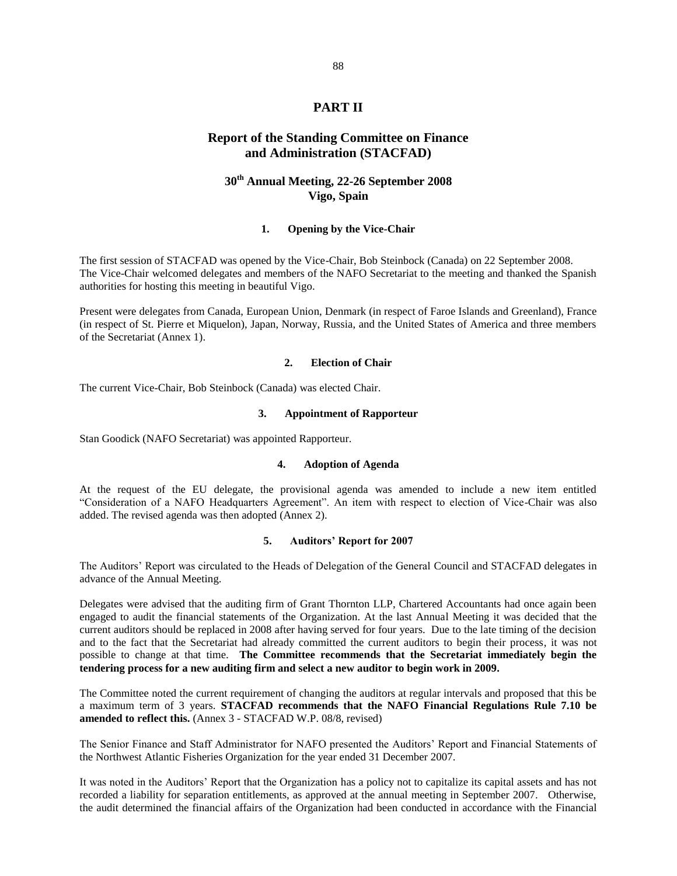# **PART II**

# **Report of the Standing Committee on Finance and Administration (STACFAD)**

# **30th Annual Meeting, 22-26 September 2008 Vigo, Spain**

# **1. Opening by the Vice-Chair**

The first session of STACFAD was opened by the Vice-Chair, Bob Steinbock (Canada) on 22 September 2008. The Vice-Chair welcomed delegates and members of the NAFO Secretariat to the meeting and thanked the Spanish authorities for hosting this meeting in beautiful Vigo.

Present were delegates from Canada, European Union, Denmark (in respect of Faroe Islands and Greenland), France (in respect of St. Pierre et Miquelon), Japan, Norway, Russia, and the United States of America and three members of the Secretariat (Annex 1).

#### **2. Election of Chair**

The current Vice-Chair, Bob Steinbock (Canada) was elected Chair.

#### **3. Appointment of Rapporteur**

Stan Goodick (NAFO Secretariat) was appointed Rapporteur.

#### **4. Adoption of Agenda**

At the request of the EU delegate, the provisional agenda was amended to include a new item entitled "Consideration of a NAFO Headquarters Agreement". An item with respect to election of Vice-Chair was also added. The revised agenda was then adopted (Annex 2).

## **5. Auditors' Report for 2007**

The Auditors' Report was circulated to the Heads of Delegation of the General Council and STACFAD delegates in advance of the Annual Meeting.

Delegates were advised that the auditing firm of Grant Thornton LLP, Chartered Accountants had once again been engaged to audit the financial statements of the Organization. At the last Annual Meeting it was decided that the current auditors should be replaced in 2008 after having served for four years. Due to the late timing of the decision and to the fact that the Secretariat had already committed the current auditors to begin their process, it was not possible to change at that time. **The Committee recommends that the Secretariat immediately begin the tendering process for a new auditing firm and select a new auditor to begin work in 2009.** 

The Committee noted the current requirement of changing the auditors at regular intervals and proposed that this be a maximum term of 3 years. **STACFAD recommends that the NAFO Financial Regulations Rule 7.10 be amended to reflect this.** (Annex 3 - STACFAD W.P. 08/8, revised)

The Senior Finance and Staff Administrator for NAFO presented the Auditors' Report and Financial Statements of the Northwest Atlantic Fisheries Organization for the year ended 31 December 2007.

It was noted in the Auditors' Report that the Organization has a policy not to capitalize its capital assets and has not recorded a liability for separation entitlements, as approved at the annual meeting in September 2007. Otherwise, the audit determined the financial affairs of the Organization had been conducted in accordance with the Financial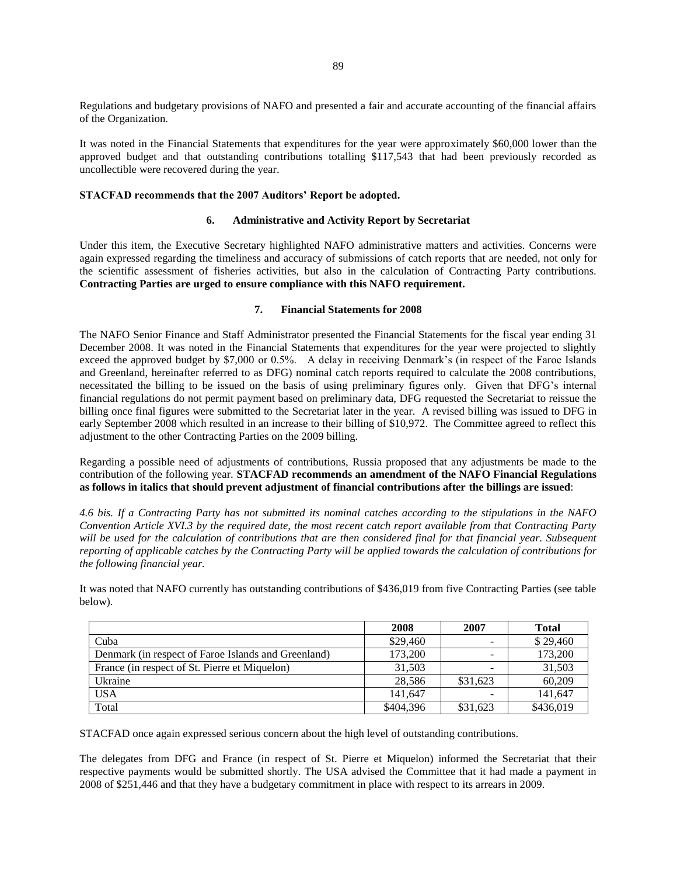Regulations and budgetary provisions of NAFO and presented a fair and accurate accounting of the financial affairs of the Organization.

It was noted in the Financial Statements that expenditures for the year were approximately \$60,000 lower than the approved budget and that outstanding contributions totalling \$117,543 that had been previously recorded as uncollectible were recovered during the year.

# **STACFAD recommends that the 2007 Auditors' Report be adopted.**

# **6. Administrative and Activity Report by Secretariat**

Under this item, the Executive Secretary highlighted NAFO administrative matters and activities. Concerns were again expressed regarding the timeliness and accuracy of submissions of catch reports that are needed, not only for the scientific assessment of fisheries activities, but also in the calculation of Contracting Party contributions. **Contracting Parties are urged to ensure compliance with this NAFO requirement.** 

## **7. Financial Statements for 2008**

The NAFO Senior Finance and Staff Administrator presented the Financial Statements for the fiscal year ending 31 December 2008. It was noted in the Financial Statements that expenditures for the year were projected to slightly exceed the approved budget by \$7,000 or 0.5%. A delay in receiving Denmark's (in respect of the Faroe Islands and Greenland, hereinafter referred to as DFG) nominal catch reports required to calculate the 2008 contributions, necessitated the billing to be issued on the basis of using preliminary figures only. Given that DFG's internal financial regulations do not permit payment based on preliminary data, DFG requested the Secretariat to reissue the billing once final figures were submitted to the Secretariat later in the year. A revised billing was issued to DFG in early September 2008 which resulted in an increase to their billing of \$10,972. The Committee agreed to reflect this adjustment to the other Contracting Parties on the 2009 billing.

Regarding a possible need of adjustments of contributions, Russia proposed that any adjustments be made to the contribution of the following year. **STACFAD recommends an amendment of the NAFO Financial Regulations as follows in italics that should prevent adjustment of financial contributions after the billings are issued**:

*4.6 bis. If a Contracting Party has not submitted its nominal catches according to the stipulations in the NAFO Convention Article XVI.3 by the required date, the most recent catch report available from that Contracting Party*  will be used for the calculation of contributions that are then considered final for that financial year. Subsequent *reporting of applicable catches by the Contracting Party will be applied towards the calculation of contributions for the following financial year.* 

It was noted that NAFO currently has outstanding contributions of \$436,019 from five Contracting Parties (see table below).

|                                                     | 2008      | 2007     | <b>Total</b> |
|-----------------------------------------------------|-----------|----------|--------------|
| Cuba                                                | \$29,460  | -        | \$29,460     |
| Denmark (in respect of Faroe Islands and Greenland) | 173.200   | $\sim$   | 173,200      |
| France (in respect of St. Pierre et Miquelon)       | 31.503    | -        | 31,503       |
| Ukraine                                             | 28.586    | \$31.623 | 60.209       |
| <b>USA</b>                                          | 141.647   | -        | 141,647      |
| Total                                               | \$404,396 | \$31,623 | \$436,019    |

STACFAD once again expressed serious concern about the high level of outstanding contributions.

The delegates from DFG and France (in respect of St. Pierre et Miquelon) informed the Secretariat that their respective payments would be submitted shortly. The USA advised the Committee that it had made a payment in 2008 of \$251,446 and that they have a budgetary commitment in place with respect to its arrears in 2009.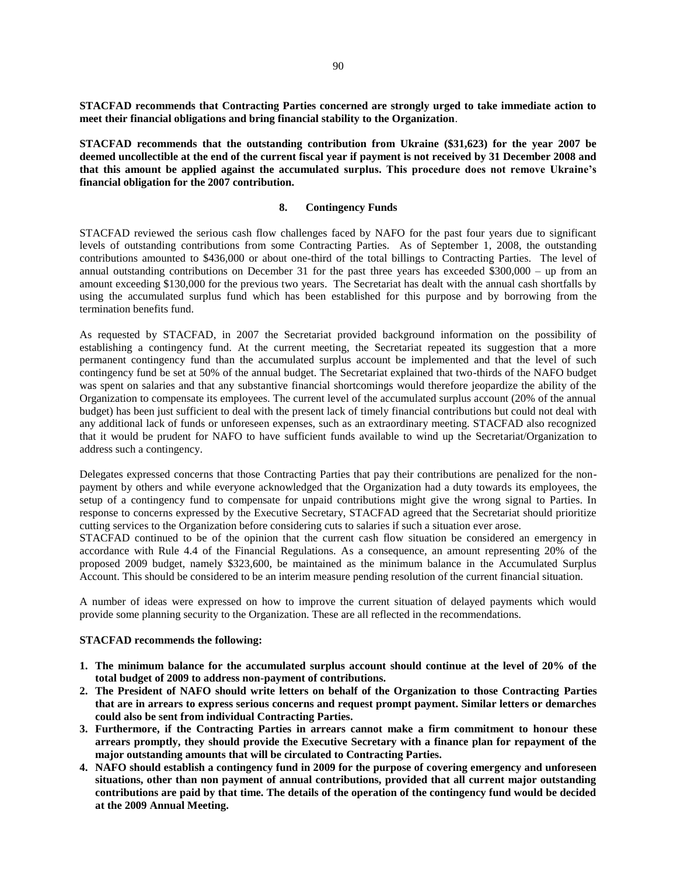**STACFAD recommends that Contracting Parties concerned are strongly urged to take immediate action to meet their financial obligations and bring financial stability to the Organization**.

**STACFAD recommends that the outstanding contribution from Ukraine (\$31,623) for the year 2007 be deemed uncollectible at the end of the current fiscal year if payment is not received by 31 December 2008 and that this amount be applied against the accumulated surplus. This procedure does not remove Ukraine's financial obligation for the 2007 contribution.** 

## **8. Contingency Funds**

STACFAD reviewed the serious cash flow challenges faced by NAFO for the past four years due to significant levels of outstanding contributions from some Contracting Parties. As of September 1, 2008, the outstanding contributions amounted to \$436,000 or about one-third of the total billings to Contracting Parties. The level of annual outstanding contributions on December 31 for the past three years has exceeded  $$300,000 - up$  from an amount exceeding \$130,000 for the previous two years. The Secretariat has dealt with the annual cash shortfalls by using the accumulated surplus fund which has been established for this purpose and by borrowing from the termination benefits fund.

As requested by STACFAD, in 2007 the Secretariat provided background information on the possibility of establishing a contingency fund. At the current meeting, the Secretariat repeated its suggestion that a more permanent contingency fund than the accumulated surplus account be implemented and that the level of such contingency fund be set at 50% of the annual budget. The Secretariat explained that two-thirds of the NAFO budget was spent on salaries and that any substantive financial shortcomings would therefore jeopardize the ability of the Organization to compensate its employees. The current level of the accumulated surplus account (20% of the annual budget) has been just sufficient to deal with the present lack of timely financial contributions but could not deal with any additional lack of funds or unforeseen expenses, such as an extraordinary meeting. STACFAD also recognized that it would be prudent for NAFO to have sufficient funds available to wind up the Secretariat/Organization to address such a contingency.

Delegates expressed concerns that those Contracting Parties that pay their contributions are penalized for the nonpayment by others and while everyone acknowledged that the Organization had a duty towards its employees, the setup of a contingency fund to compensate for unpaid contributions might give the wrong signal to Parties. In response to concerns expressed by the Executive Secretary, STACFAD agreed that the Secretariat should prioritize cutting services to the Organization before considering cuts to salaries if such a situation ever arose.

STACFAD continued to be of the opinion that the current cash flow situation be considered an emergency in accordance with Rule 4.4 of the Financial Regulations. As a consequence, an amount representing 20% of the proposed 2009 budget, namely \$323,600, be maintained as the minimum balance in the Accumulated Surplus Account. This should be considered to be an interim measure pending resolution of the current financial situation.

A number of ideas were expressed on how to improve the current situation of delayed payments which would provide some planning security to the Organization. These are all reflected in the recommendations.

#### **STACFAD recommends the following:**

- **1. The minimum balance for the accumulated surplus account should continue at the level of 20% of the total budget of 2009 to address non-payment of contributions.**
- **2. The President of NAFO should write letters on behalf of the Organization to those Contracting Parties that are in arrears to express serious concerns and request prompt payment. Similar letters or demarches could also be sent from individual Contracting Parties.**
- **3. Furthermore, if the Contracting Parties in arrears cannot make a firm commitment to honour these arrears promptly, they should provide the Executive Secretary with a finance plan for repayment of the major outstanding amounts that will be circulated to Contracting Parties.**
- **4. NAFO should establish a contingency fund in 2009 for the purpose of covering emergency and unforeseen situations, other than non payment of annual contributions, provided that all current major outstanding contributions are paid by that time. The details of the operation of the contingency fund would be decided at the 2009 Annual Meeting.**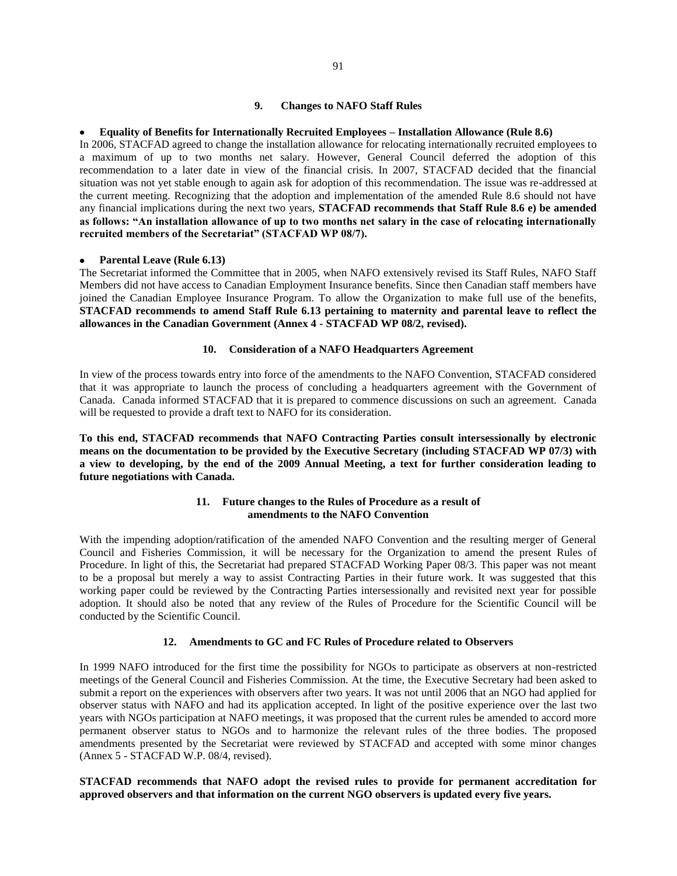#### **9. Changes to NAFO Staff Rules**

#### **Equality of Benefits for Internationally Recruited Employees – Installation Allowance (Rule 8.6)**

In 2006, STACFAD agreed to change the installation allowance for relocating internationally recruited employees to a maximum of up to two months net salary. However, General Council deferred the adoption of this recommendation to a later date in view of the financial crisis. In 2007, STACFAD decided that the financial situation was not yet stable enough to again ask for adoption of this recommendation. The issue was re-addressed at the current meeting. Recognizing that the adoption and implementation of the amended Rule 8.6 should not have any financial implications during the next two years, **STACFAD recommends that Staff Rule 8.6 e) be amended as follows: "An installation allowance of up to two months net salary in the case of relocating internationally recruited members of the Secretariat" (STACFAD WP 08/7).**

#### **Parental Leave (Rule 6.13)**

The Secretariat informed the Committee that in 2005, when NAFO extensively revised its Staff Rules, NAFO Staff Members did not have access to Canadian Employment Insurance benefits. Since then Canadian staff members have joined the Canadian Employee Insurance Program. To allow the Organization to make full use of the benefits, **STACFAD recommends to amend Staff Rule 6.13 pertaining to maternity and parental leave to reflect the allowances in the Canadian Government (Annex 4 - STACFAD WP 08/2, revised).** 

# **10. Consideration of a NAFO Headquarters Agreement**

In view of the process towards entry into force of the amendments to the NAFO Convention, STACFAD considered that it was appropriate to launch the process of concluding a headquarters agreement with the Government of Canada. Canada informed STACFAD that it is prepared to commence discussions on such an agreement. Canada will be requested to provide a draft text to NAFO for its consideration.

**To this end, STACFAD recommends that NAFO Contracting Parties consult intersessionally by electronic means on the documentation to be provided by the Executive Secretary (including STACFAD WP 07/3) with a view to developing, by the end of the 2009 Annual Meeting, a text for further consideration leading to future negotiations with Canada.** 

# **11. Future changes to the Rules of Procedure as a result of amendments to the NAFO Convention**

With the impending adoption/ratification of the amended NAFO Convention and the resulting merger of General Council and Fisheries Commission, it will be necessary for the Organization to amend the present Rules of Procedure. In light of this, the Secretariat had prepared STACFAD Working Paper 08/3. This paper was not meant to be a proposal but merely a way to assist Contracting Parties in their future work. It was suggested that this working paper could be reviewed by the Contracting Parties intersessionally and revisited next year for possible adoption. It should also be noted that any review of the Rules of Procedure for the Scientific Council will be conducted by the Scientific Council.

#### **12. Amendments to GC and FC Rules of Procedure related to Observers**

In 1999 NAFO introduced for the first time the possibility for NGOs to participate as observers at non-restricted meetings of the General Council and Fisheries Commission. At the time, the Executive Secretary had been asked to submit a report on the experiences with observers after two years. It was not until 2006 that an NGO had applied for observer status with NAFO and had its application accepted. In light of the positive experience over the last two years with NGOs participation at NAFO meetings, it was proposed that the current rules be amended to accord more permanent observer status to NGOs and to harmonize the relevant rules of the three bodies. The proposed amendments presented by the Secretariat were reviewed by STACFAD and accepted with some minor changes (Annex 5 - STACFAD W.P. 08/4, revised).

# **STACFAD recommends that NAFO adopt the revised rules to provide for permanent accreditation for approved observers and that information on the current NGO observers is updated every five years.**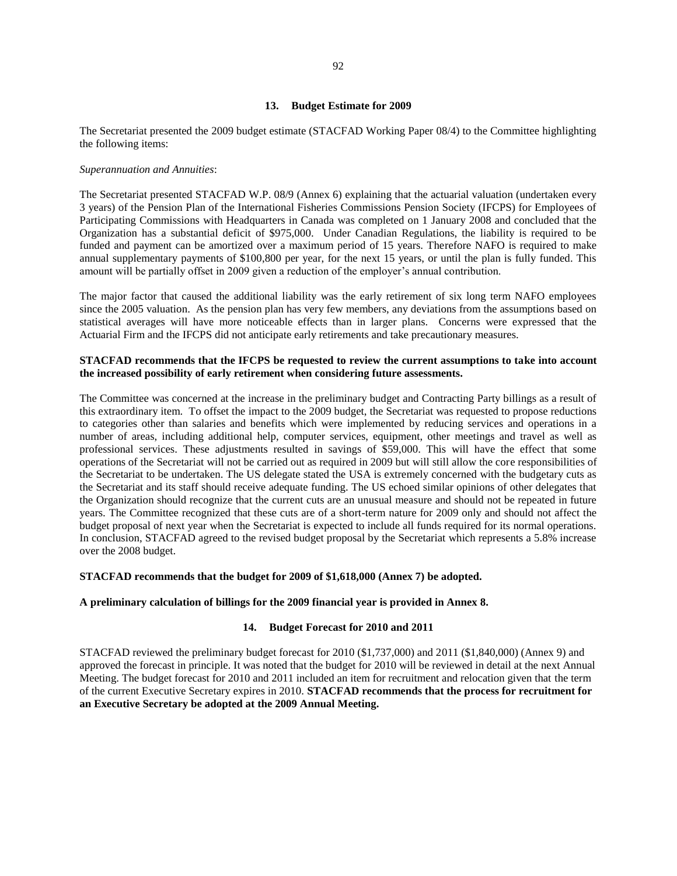## **13. Budget Estimate for 2009**

The Secretariat presented the 2009 budget estimate (STACFAD Working Paper 08/4) to the Committee highlighting the following items:

#### *Superannuation and Annuities*:

The Secretariat presented STACFAD W.P. 08/9 (Annex 6) explaining that the actuarial valuation (undertaken every 3 years) of the Pension Plan of the International Fisheries Commissions Pension Society (IFCPS) for Employees of Participating Commissions with Headquarters in Canada was completed on 1 January 2008 and concluded that the Organization has a substantial deficit of \$975,000. Under Canadian Regulations, the liability is required to be funded and payment can be amortized over a maximum period of 15 years. Therefore NAFO is required to make annual supplementary payments of \$100,800 per year, for the next 15 years, or until the plan is fully funded. This amount will be partially offset in 2009 given a reduction of the employer's annual contribution.

The major factor that caused the additional liability was the early retirement of six long term NAFO employees since the 2005 valuation. As the pension plan has very few members, any deviations from the assumptions based on statistical averages will have more noticeable effects than in larger plans. Concerns were expressed that the Actuarial Firm and the IFCPS did not anticipate early retirements and take precautionary measures.

# **STACFAD recommends that the IFCPS be requested to review the current assumptions to take into account the increased possibility of early retirement when considering future assessments.**

The Committee was concerned at the increase in the preliminary budget and Contracting Party billings as a result of this extraordinary item. To offset the impact to the 2009 budget, the Secretariat was requested to propose reductions to categories other than salaries and benefits which were implemented by reducing services and operations in a number of areas, including additional help, computer services, equipment, other meetings and travel as well as professional services. These adjustments resulted in savings of \$59,000. This will have the effect that some operations of the Secretariat will not be carried out as required in 2009 but will still allow the core responsibilities of the Secretariat to be undertaken. The US delegate stated the USA is extremely concerned with the budgetary cuts as the Secretariat and its staff should receive adequate funding. The US echoed similar opinions of other delegates that the Organization should recognize that the current cuts are an unusual measure and should not be repeated in future years. The Committee recognized that these cuts are of a short-term nature for 2009 only and should not affect the budget proposal of next year when the Secretariat is expected to include all funds required for its normal operations. In conclusion, STACFAD agreed to the revised budget proposal by the Secretariat which represents a 5.8% increase over the 2008 budget.

## **STACFAD recommends that the budget for 2009 of \$1,618,000 (Annex 7) be adopted.**

# **A preliminary calculation of billings for the 2009 financial year is provided in Annex 8.**

#### **14. Budget Forecast for 2010 and 2011**

STACFAD reviewed the preliminary budget forecast for 2010 (\$1,737,000) and 2011 (\$1,840,000) (Annex 9) and approved the forecast in principle. It was noted that the budget for 2010 will be reviewed in detail at the next Annual Meeting. The budget forecast for 2010 and 2011 included an item for recruitment and relocation given that the term of the current Executive Secretary expires in 2010. **STACFAD recommends that the process for recruitment for an Executive Secretary be adopted at the 2009 Annual Meeting.**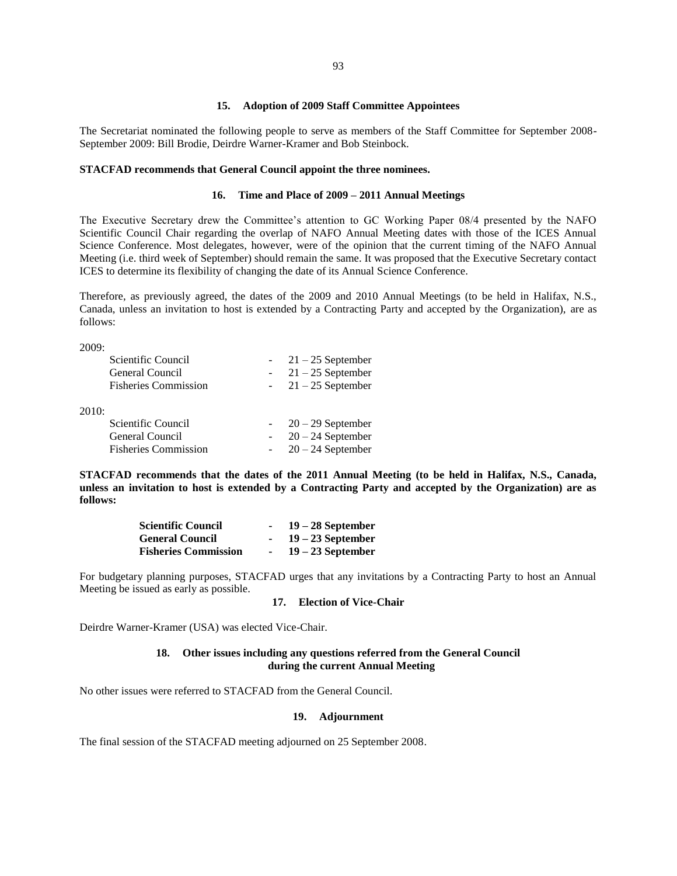#### **15. Adoption of 2009 Staff Committee Appointees**

The Secretariat nominated the following people to serve as members of the Staff Committee for September 2008- September 2009: Bill Brodie, Deirdre Warner-Kramer and Bob Steinbock.

## **STACFAD recommends that General Council appoint the three nominees.**

# **16. Time and Place of 2009 – 2011 Annual Meetings**

The Executive Secretary drew the Committee's attention to GC Working Paper 08/4 presented by the NAFO Scientific Council Chair regarding the overlap of NAFO Annual Meeting dates with those of the ICES Annual Science Conference. Most delegates, however, were of the opinion that the current timing of the NAFO Annual Meeting (i.e. third week of September) should remain the same. It was proposed that the Executive Secretary contact ICES to determine its flexibility of changing the date of its Annual Science Conference.

Therefore, as previously agreed, the dates of the 2009 and 2010 Annual Meetings (to be held in Halifax, N.S., Canada, unless an invitation to host is extended by a Contracting Party and accepted by the Organization), are as follows:

2009:

|       | Scientific Council          | $-21-25$ September  |
|-------|-----------------------------|---------------------|
|       | General Council             | $-21-25$ September  |
|       | <b>Fisheries Commission</b> | $-21-25$ September  |
|       |                             |                     |
| 2010: |                             |                     |
|       | Scientific Council          | $20 - 29$ September |
|       | General Council             | $20 - 24$ September |
|       | <b>Fisheries Commission</b> | $20 - 24$ September |

**STACFAD recommends that the dates of the 2011 Annual Meeting (to be held in Halifax, N.S., Canada, unless an invitation to host is extended by a Contracting Party and accepted by the Organization) are as follows:** 

| <b>Scientific Council</b>   |        | $19-28$ September   |
|-----------------------------|--------|---------------------|
| <b>General Council</b>      |        | $19 - 23$ September |
| <b>Fisheries Commission</b> | $\sim$ | $19 - 23$ September |

For budgetary planning purposes, STACFAD urges that any invitations by a Contracting Party to host an Annual Meeting be issued as early as possible.

# **17. Election of Vice-Chair**

Deirdre Warner-Kramer (USA) was elected Vice-Chair.

# **18. Other issues including any questions referred from the General Council during the current Annual Meeting**

No other issues were referred to STACFAD from the General Council.

#### **19. Adjournment**

The final session of the STACFAD meeting adjourned on 25 September 2008.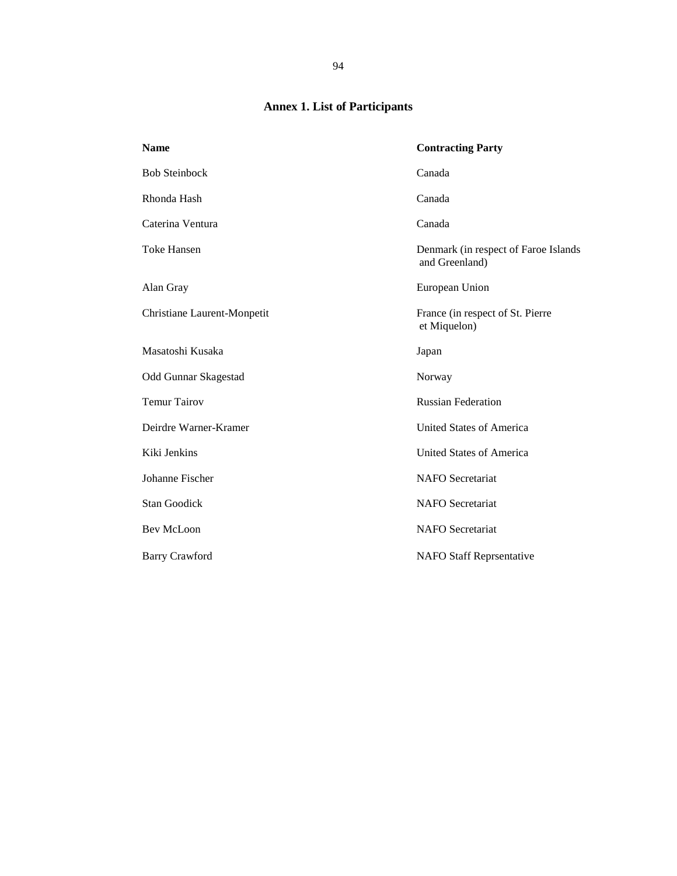# **Annex 1. List of Participants**

| <b>Contracting Party</b>                               |
|--------------------------------------------------------|
| Canada                                                 |
| Canada                                                 |
| Canada                                                 |
| Denmark (in respect of Faroe Islands<br>and Greenland) |
| European Union                                         |
| France (in respect of St. Pierre<br>et Miquelon)       |
| Japan                                                  |
| Norway                                                 |
| <b>Russian Federation</b>                              |
| <b>United States of America</b>                        |
| United States of America                               |
| <b>NAFO</b> Secretariat                                |
| <b>NAFO</b> Secretariat                                |
| <b>NAFO</b> Secretariat                                |
| <b>NAFO Staff Reprsentative</b>                        |
|                                                        |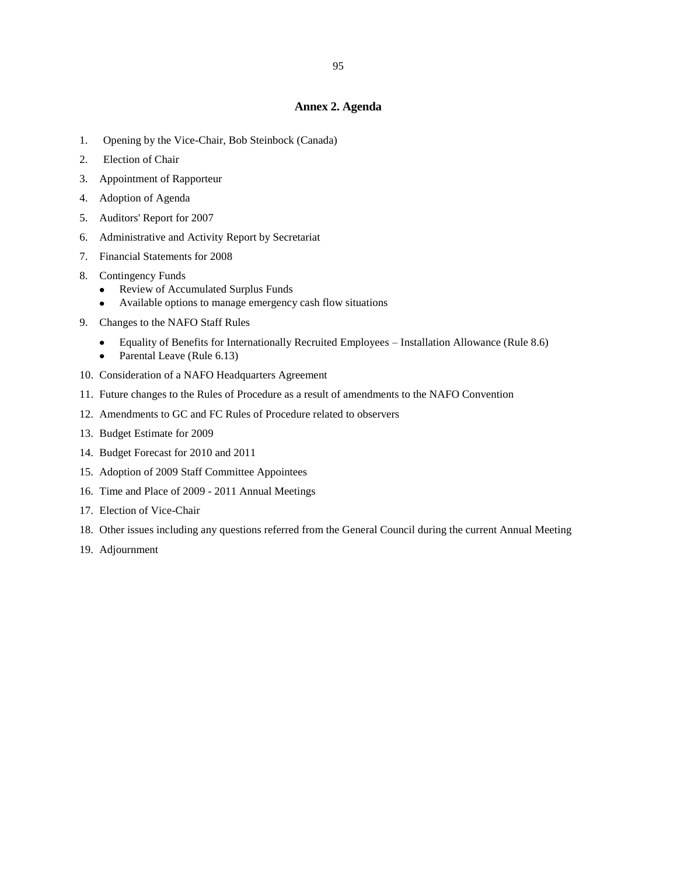# **Annex 2. Agenda**

- 1. Opening by the Vice-Chair, Bob Steinbock (Canada)
- 2. Election of Chair
- 3. Appointment of Rapporteur
- 4. Adoption of Agenda
- 5. Auditors' Report for 2007
- 6. Administrative and Activity Report by Secretariat
- 7. Financial Statements for 2008
- 8. Contingency Funds
	- Review of Accumulated Surplus Funds  $\bullet$
	- Available options to manage emergency cash flow situations
- 9. Changes to the NAFO Staff Rules
	- Equality of Benefits for Internationally Recruited Employees Installation Allowance (Rule 8.6)  $\bullet$
	- Parental Leave (Rule 6.13)  $\bullet$
- 10. Consideration of a NAFO Headquarters Agreement
- 11. Future changes to the Rules of Procedure as a result of amendments to the NAFO Convention
- 12. Amendments to GC and FC Rules of Procedure related to observers
- 13. Budget Estimate for 2009
- 14. Budget Forecast for 2010 and 2011
- 15. Adoption of 2009 Staff Committee Appointees
- 16. Time and Place of 2009 2011 Annual Meetings
- 17. Election of Vice-Chair
- 18. Other issues including any questions referred from the General Council during the current Annual Meeting
- 19. Adjournment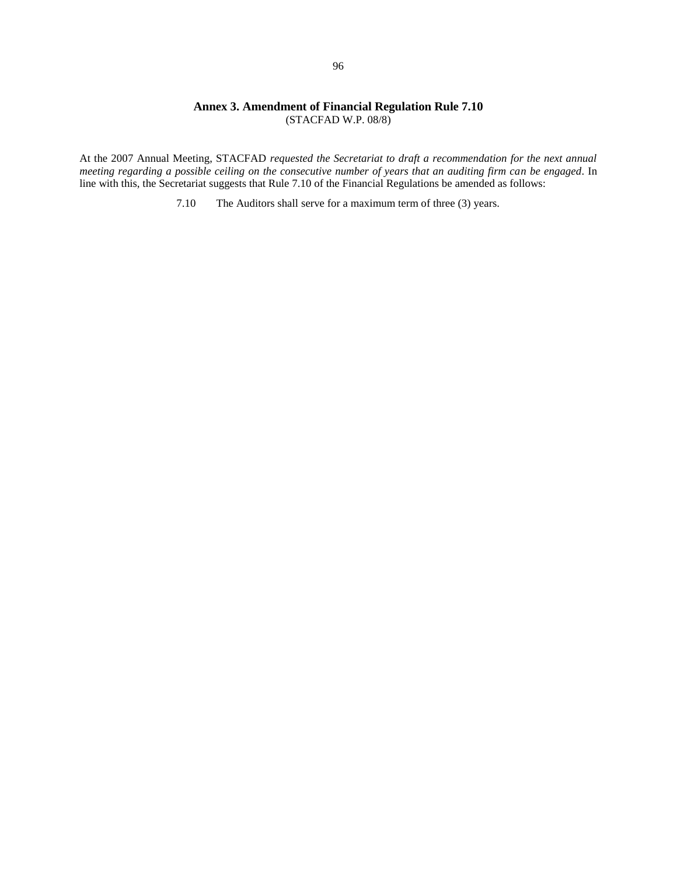# **Annex 3. Amendment of Financial Regulation Rule 7.10**  (STACFAD W.P. 08/8)

At the 2007 Annual Meeting, STACFAD *requested the Secretariat to draft a recommendation for the next annual meeting regarding a possible ceiling on the consecutive number of years that an auditing firm can be engaged*. In line with this, the Secretariat suggests that Rule 7.10 of the Financial Regulations be amended as follows:

7.10 The Auditors shall serve for a maximum term of three (3) years.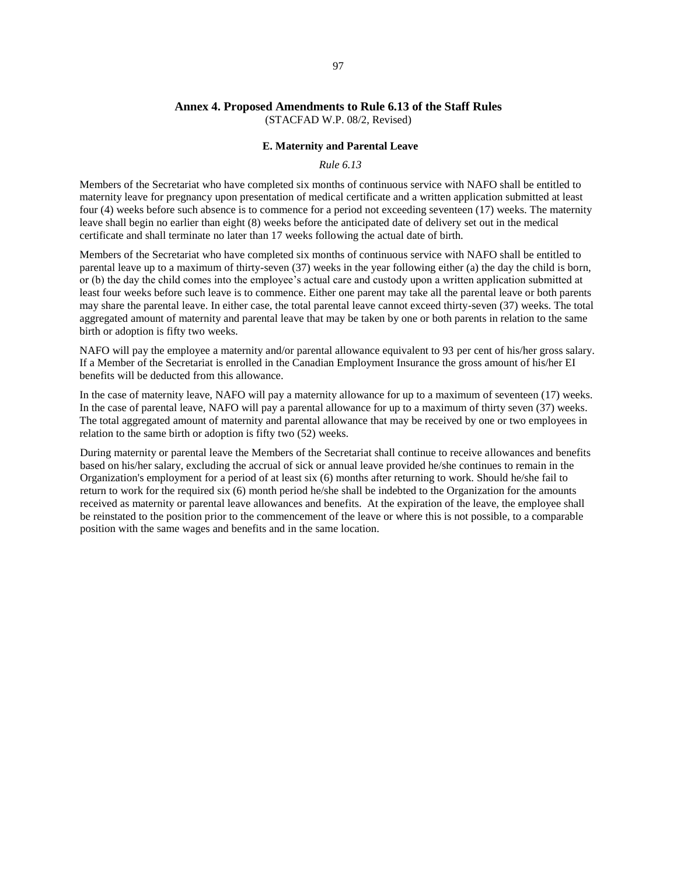# **Annex 4. Proposed Amendments to Rule 6.13 of the Staff Rules**

(STACFAD W.P. 08/2, Revised)

# **E. Maternity and Parental Leave**

# *Rule 6.13*

Members of the Secretariat who have completed six months of continuous service with NAFO shall be entitled to maternity leave for pregnancy upon presentation of medical certificate and a written application submitted at least four (4) weeks before such absence is to commence for a period not exceeding seventeen (17) weeks. The maternity leave shall begin no earlier than eight (8) weeks before the anticipated date of delivery set out in the medical certificate and shall terminate no later than 17 weeks following the actual date of birth.

Members of the Secretariat who have completed six months of continuous service with NAFO shall be entitled to parental leave up to a maximum of thirty-seven (37) weeks in the year following either (a) the day the child is born, or (b) the day the child comes into the employee's actual care and custody upon a written application submitted at least four weeks before such leave is to commence. Either one parent may take all the parental leave or both parents may share the parental leave. In either case, the total parental leave cannot exceed thirty-seven (37) weeks. The total aggregated amount of maternity and parental leave that may be taken by one or both parents in relation to the same birth or adoption is fifty two weeks.

NAFO will pay the employee a maternity and/or parental allowance equivalent to 93 per cent of his/her gross salary. If a Member of the Secretariat is enrolled in the Canadian Employment Insurance the gross amount of his/her EI benefits will be deducted from this allowance.

In the case of maternity leave, NAFO will pay a maternity allowance for up to a maximum of seventeen (17) weeks. In the case of parental leave, NAFO will pay a parental allowance for up to a maximum of thirty seven (37) weeks. The total aggregated amount of maternity and parental allowance that may be received by one or two employees in relation to the same birth or adoption is fifty two (52) weeks.

During maternity or parental leave the Members of the Secretariat shall continue to receive allowances and benefits based on his/her salary, excluding the accrual of sick or annual leave provided he/she continues to remain in the Organization's employment for a period of at least six (6) months after returning to work. Should he/she fail to return to work for the required six (6) month period he/she shall be indebted to the Organization for the amounts received as maternity or parental leave allowances and benefits. At the expiration of the leave, the employee shall be reinstated to the position prior to the commencement of the leave or where this is not possible, to a comparable position with the same wages and benefits and in the same location.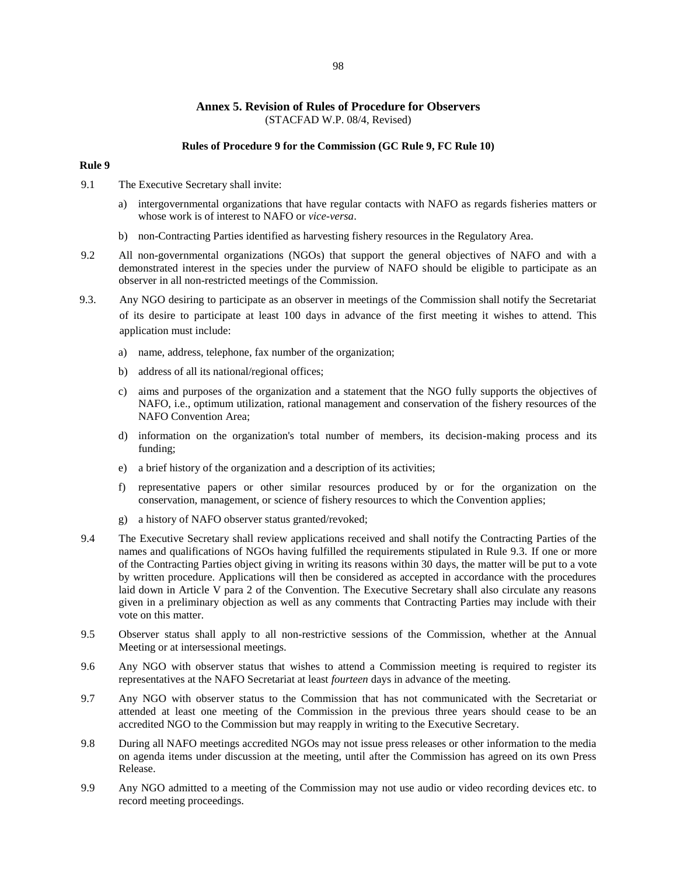## **Annex 5. Revision of Rules of Procedure for Observers**  (STACFAD W.P. 08/4, Revised)

#### **Rules of Procedure 9 for the Commission (GC Rule 9, FC Rule 10)**

## **Rule 9**

- 9.1 The Executive Secretary shall invite:
	- a) intergovernmental organizations that have regular contacts with NAFO as regards fisheries matters or whose work is of interest to NAFO or *vice-versa*.
	- b) non-Contracting Parties identified as harvesting fishery resources in the Regulatory Area.
- 9.2 All non-governmental organizations (NGOs) that support the general objectives of NAFO and with a demonstrated interest in the species under the purview of NAFO should be eligible to participate as an observer in all non-restricted meetings of the Commission.
- 9.3. Any NGO desiring to participate as an observer in meetings of the Commission shall notify the Secretariat of its desire to participate at least 100 days in advance of the first meeting it wishes to attend. This application must include:
	- a) name, address, telephone, fax number of the organization;
	- b) address of all its national/regional offices;
	- c) aims and purposes of the organization and a statement that the NGO fully supports the objectives of NAFO, i.e., optimum utilization, rational management and conservation of the fishery resources of the NAFO Convention Area;
	- d) information on the organization's total number of members, its decision-making process and its funding;
	- e) a brief history of the organization and a description of its activities;
	- f) representative papers or other similar resources produced by or for the organization on the conservation, management, or science of fishery resources to which the Convention applies;
	- g) a history of NAFO observer status granted/revoked;
- 9.4 The Executive Secretary shall review applications received and shall notify the Contracting Parties of the names and qualifications of NGOs having fulfilled the requirements stipulated in Rule 9.3. If one or more of the Contracting Parties object giving in writing its reasons within 30 days, the matter will be put to a vote by written procedure. Applications will then be considered as accepted in accordance with the procedures laid down in Article V para 2 of the Convention. The Executive Secretary shall also circulate any reasons given in a preliminary objection as well as any comments that Contracting Parties may include with their vote on this matter.
- 9.5 Observer status shall apply to all non-restrictive sessions of the Commission, whether at the Annual Meeting or at intersessional meetings.
- 9.6 Any NGO with observer status that wishes to attend a Commission meeting is required to register its representatives at the NAFO Secretariat at least *fourteen* days in advance of the meeting.
- 9.7 Any NGO with observer status to the Commission that has not communicated with the Secretariat or attended at least one meeting of the Commission in the previous three years should cease to be an accredited NGO to the Commission but may reapply in writing to the Executive Secretary.
- 9.8 During all NAFO meetings accredited NGOs may not issue press releases or other information to the media on agenda items under discussion at the meeting, until after the Commission has agreed on its own Press Release.
- 9.9 Any NGO admitted to a meeting of the Commission may not use audio or video recording devices etc. to record meeting proceedings.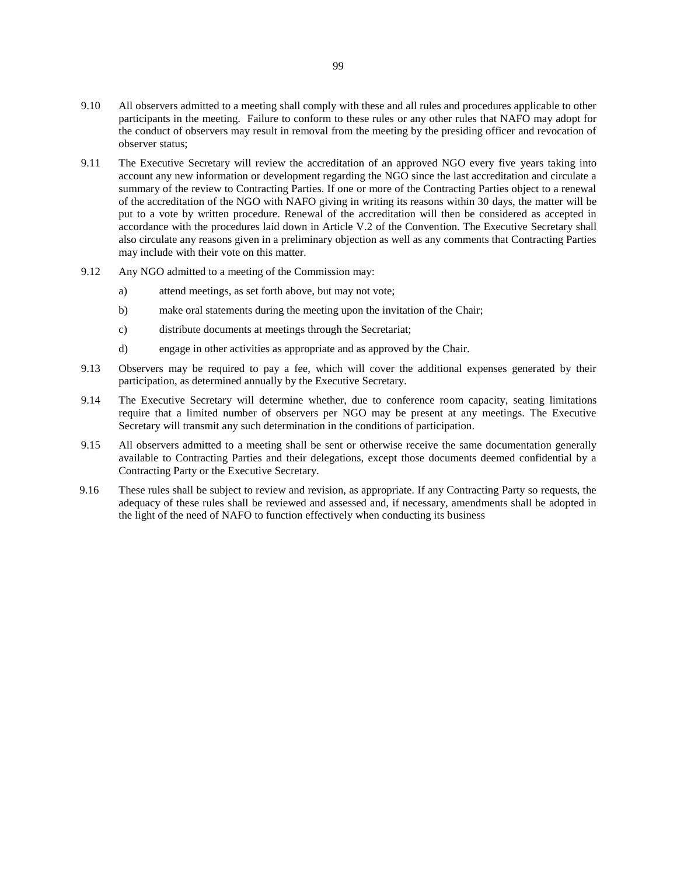- 9.10 All observers admitted to a meeting shall comply with these and all rules and procedures applicable to other participants in the meeting. Failure to conform to these rules or any other rules that NAFO may adopt for the conduct of observers may result in removal from the meeting by the presiding officer and revocation of observer status;
- 9.11 The Executive Secretary will review the accreditation of an approved NGO every five years taking into account any new information or development regarding the NGO since the last accreditation and circulate a summary of the review to Contracting Parties. If one or more of the Contracting Parties object to a renewal of the accreditation of the NGO with NAFO giving in writing its reasons within 30 days, the matter will be put to a vote by written procedure. Renewal of the accreditation will then be considered as accepted in accordance with the procedures laid down in Article V.2 of the Convention. The Executive Secretary shall also circulate any reasons given in a preliminary objection as well as any comments that Contracting Parties may include with their vote on this matter.
- 9.12 Any NGO admitted to a meeting of the Commission may:
	- a) attend meetings, as set forth above, but may not vote;
	- b) make oral statements during the meeting upon the invitation of the Chair;
	- c) distribute documents at meetings through the Secretariat;
	- d) engage in other activities as appropriate and as approved by the Chair.
- 9.13 Observers may be required to pay a fee, which will cover the additional expenses generated by their participation, as determined annually by the Executive Secretary.
- 9.14 The Executive Secretary will determine whether, due to conference room capacity, seating limitations require that a limited number of observers per NGO may be present at any meetings. The Executive Secretary will transmit any such determination in the conditions of participation.
- 9.15 All observers admitted to a meeting shall be sent or otherwise receive the same documentation generally available to Contracting Parties and their delegations, except those documents deemed confidential by a Contracting Party or the Executive Secretary.
- 9.16 These rules shall be subject to review and revision, as appropriate. If any Contracting Party so requests, the adequacy of these rules shall be reviewed and assessed and, if necessary, amendments shall be adopted in the light of the need of NAFO to function effectively when conducting its business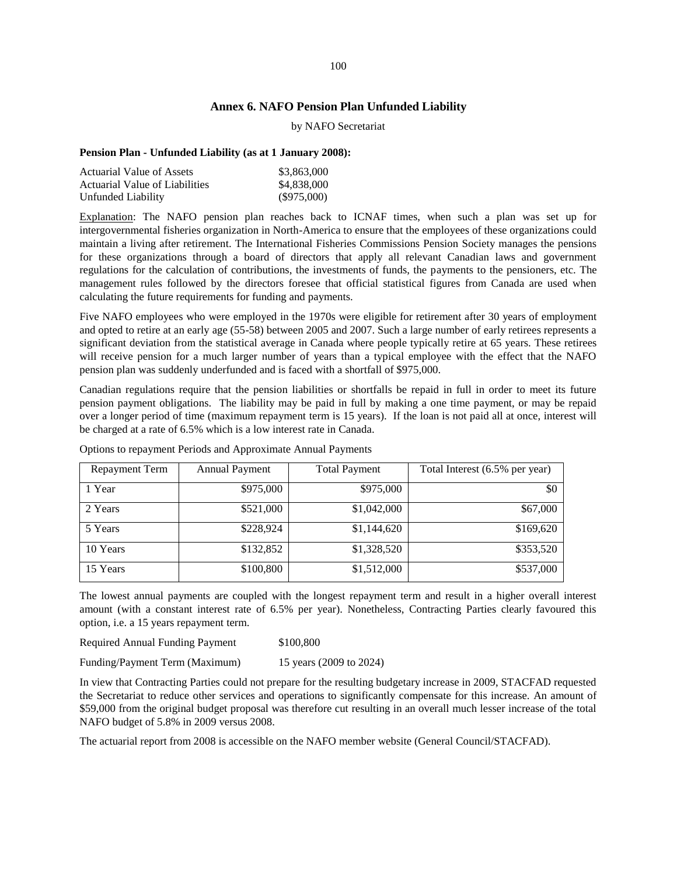# **Annex 6. NAFO Pension Plan Unfunded Liability**

#### by NAFO Secretariat

### **Pension Plan - Unfunded Liability (as at 1 January 2008):**

| Actuarial Value of Assets      | \$3,863,000   |
|--------------------------------|---------------|
| Actuarial Value of Liabilities | \$4,838,000   |
| Unfunded Liability             | $(\$975,000)$ |

Explanation: The NAFO pension plan reaches back to ICNAF times, when such a plan was set up for intergovernmental fisheries organization in North-America to ensure that the employees of these organizations could maintain a living after retirement. The International Fisheries Commissions Pension Society manages the pensions for these organizations through a board of directors that apply all relevant Canadian laws and government regulations for the calculation of contributions, the investments of funds, the payments to the pensioners, etc. The management rules followed by the directors foresee that official statistical figures from Canada are used when calculating the future requirements for funding and payments.

Five NAFO employees who were employed in the 1970s were eligible for retirement after 30 years of employment and opted to retire at an early age (55-58) between 2005 and 2007. Such a large number of early retirees represents a significant deviation from the statistical average in Canada where people typically retire at 65 years. These retirees will receive pension for a much larger number of years than a typical employee with the effect that the NAFO pension plan was suddenly underfunded and is faced with a shortfall of \$975,000.

Canadian regulations require that the pension liabilities or shortfalls be repaid in full in order to meet its future pension payment obligations. The liability may be paid in full by making a one time payment, or may be repaid over a longer period of time (maximum repayment term is 15 years). If the loan is not paid all at once, interest will be charged at a rate of 6.5% which is a low interest rate in Canada.

| Repayment Term | <b>Annual Payment</b> | <b>Total Payment</b> | Total Interest (6.5% per year) |
|----------------|-----------------------|----------------------|--------------------------------|
| 1 Year         | \$975,000             | \$975,000            | \$0                            |
| 2 Years        | \$521,000             | \$1,042,000          | \$67,000                       |
| 5 Years        | \$228,924             | \$1,144,620          | \$169,620                      |
| 10 Years       | \$132,852             | \$1,328,520          | \$353,520                      |
| 15 Years       | \$100,800             | \$1,512,000          | \$537,000                      |

Options to repayment Periods and Approximate Annual Payments

The lowest annual payments are coupled with the longest repayment term and result in a higher overall interest amount (with a constant interest rate of 6.5% per year). Nonetheless, Contracting Parties clearly favoured this option, i.e. a 15 years repayment term.

| <b>Required Annual Funding Payment</b><br>\$100,800 |  |
|-----------------------------------------------------|--|
|-----------------------------------------------------|--|

Funding/Payment Term (Maximum) 15 years (2009 to 2024)

In view that Contracting Parties could not prepare for the resulting budgetary increase in 2009, STACFAD requested the Secretariat to reduce other services and operations to significantly compensate for this increase. An amount of \$59,000 from the original budget proposal was therefore cut resulting in an overall much lesser increase of the total NAFO budget of 5.8% in 2009 versus 2008.

The actuarial report from 2008 is accessible on the NAFO member website (General Council/STACFAD).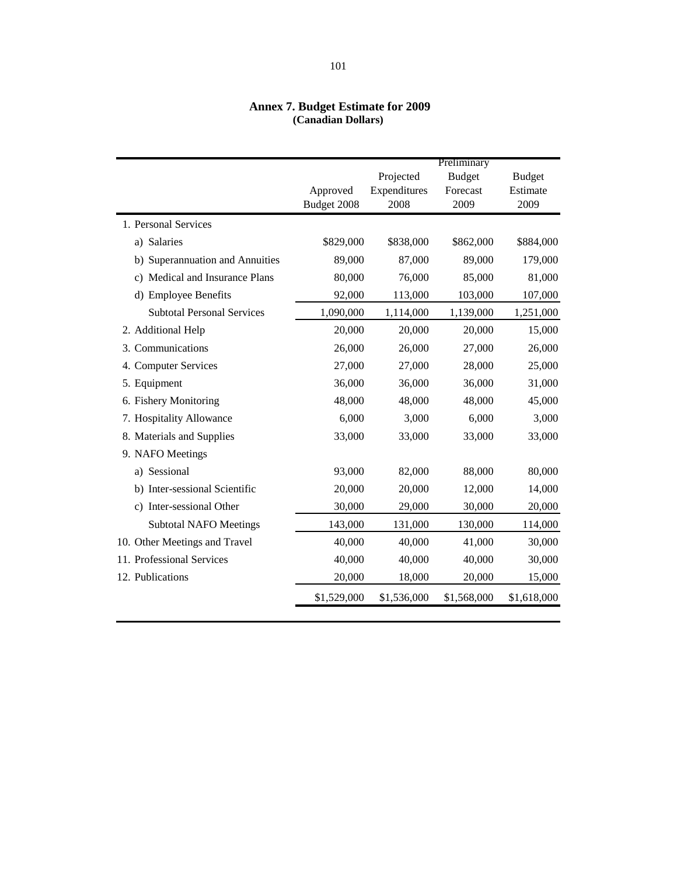# **Annex 7. Budget Estimate for 2009 (Canadian Dollars)**

|                                   |             |              | Preliminary   |               |
|-----------------------------------|-------------|--------------|---------------|---------------|
|                                   |             | Projected    | <b>Budget</b> | <b>Budget</b> |
|                                   | Approved    | Expenditures | Forecast      | Estimate      |
|                                   | Budget 2008 | 2008         | 2009          | 2009          |
| 1. Personal Services              |             |              |               |               |
| <b>Salaries</b><br>a)             | \$829,000   | \$838,000    | \$862,000     | \$884,000     |
| b) Superannuation and Annuities   | 89,000      | 87,000       | 89,000        | 179,000       |
| c) Medical and Insurance Plans    | 80,000      | 76,000       | 85,000        | 81,000        |
| d) Employee Benefits              | 92,000      | 113,000      | 103,000       | 107,000       |
| <b>Subtotal Personal Services</b> | 1,090,000   | 1,114,000    | 1,139,000     | 1,251,000     |
| 2. Additional Help                | 20,000      | 20,000       | 20,000        | 15,000        |
| 3. Communications                 | 26,000      | 26,000       | 27,000        | 26,000        |
| 4. Computer Services              | 27,000      | 27,000       | 28,000        | 25,000        |
| 5. Equipment                      | 36,000      | 36,000       | 36,000        | 31,000        |
| 6. Fishery Monitoring             | 48,000      | 48,000       | 48,000        | 45,000        |
| 7. Hospitality Allowance          | 6,000       | 3,000        | 6,000         | 3,000         |
| 8. Materials and Supplies         | 33,000      | 33,000       | 33,000        | 33,000        |
| 9. NAFO Meetings                  |             |              |               |               |
| a) Sessional                      | 93,000      | 82,000       | 88,000        | 80,000        |
| b) Inter-sessional Scientific     | 20,000      | 20,000       | 12,000        | 14,000        |
| c) Inter-sessional Other          | 30,000      | 29,000       | 30,000        | 20,000        |
| <b>Subtotal NAFO Meetings</b>     | 143,000     | 131,000      | 130,000       | 114,000       |
| 10. Other Meetings and Travel     | 40,000      | 40,000       | 41,000        | 30,000        |
| 11. Professional Services         | 40,000      | 40,000       | 40,000        | 30,000        |
| 12. Publications                  | 20,000      | 18,000       | 20,000        | 15,000        |
|                                   | \$1,529,000 | \$1,536,000  | \$1,568,000   | \$1,618,000   |
|                                   |             |              |               |               |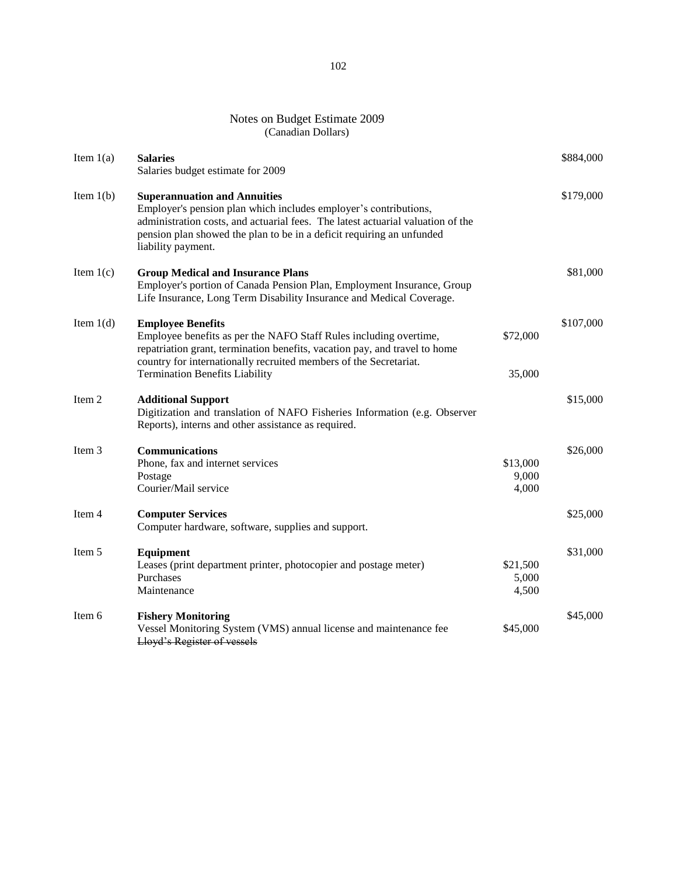# Notes on Budget Estimate 2009 (Canadian Dollars)

| Item $1(a)$ | <b>Salaries</b><br>Salaries budget estimate for 2009                                                                                                                                                                                                                                      |                            | \$884,000 |
|-------------|-------------------------------------------------------------------------------------------------------------------------------------------------------------------------------------------------------------------------------------------------------------------------------------------|----------------------------|-----------|
| Item $1(b)$ | <b>Superannuation and Annuities</b><br>Employer's pension plan which includes employer's contributions,<br>administration costs, and actuarial fees. The latest actuarial valuation of the<br>pension plan showed the plan to be in a deficit requiring an unfunded<br>liability payment. |                            | \$179,000 |
| Item $1(c)$ | <b>Group Medical and Insurance Plans</b><br>Employer's portion of Canada Pension Plan, Employment Insurance, Group<br>Life Insurance, Long Term Disability Insurance and Medical Coverage.                                                                                                |                            | \$81,000  |
| Item $1(d)$ | <b>Employee Benefits</b><br>Employee benefits as per the NAFO Staff Rules including overtime,<br>repatriation grant, termination benefits, vacation pay, and travel to home<br>country for internationally recruited members of the Secretariat.                                          | \$72,000                   | \$107,000 |
| Item 2      | <b>Termination Benefits Liability</b><br><b>Additional Support</b><br>Digitization and translation of NAFO Fisheries Information (e.g. Observer<br>Reports), interns and other assistance as required.                                                                                    | 35,000                     | \$15,000  |
| Item 3      | <b>Communications</b><br>Phone, fax and internet services<br>Postage<br>Courier/Mail service                                                                                                                                                                                              | \$13,000<br>9,000<br>4,000 | \$26,000  |
| Item 4      | <b>Computer Services</b><br>Computer hardware, software, supplies and support.                                                                                                                                                                                                            |                            | \$25,000  |
| Item 5      | Equipment<br>Leases (print department printer, photocopier and postage meter)<br>Purchases<br>Maintenance                                                                                                                                                                                 | \$21,500<br>5,000<br>4,500 | \$31,000  |
| Item 6      | <b>Fishery Monitoring</b><br>Vessel Monitoring System (VMS) annual license and maintenance fee<br>Lloyd's Register of vessels                                                                                                                                                             | \$45,000                   | \$45,000  |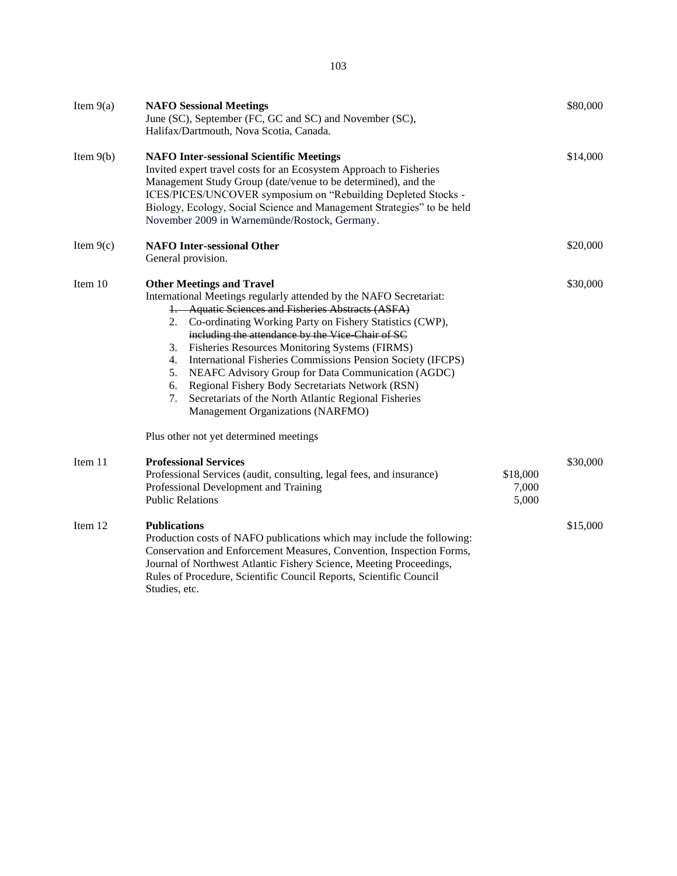| Item $9(a)$ | <b>NAFO Sessional Meetings</b><br>June (SC), September (FC, GC and SC) and November (SC),<br>Halifax/Dartmouth, Nova Scotia, Canada.                                                                                                                                                                                                                                                                                                                                                                                                                                                                                                                                             |                            | \$80,000 |
|-------------|----------------------------------------------------------------------------------------------------------------------------------------------------------------------------------------------------------------------------------------------------------------------------------------------------------------------------------------------------------------------------------------------------------------------------------------------------------------------------------------------------------------------------------------------------------------------------------------------------------------------------------------------------------------------------------|----------------------------|----------|
| Item $9(b)$ | <b>NAFO Inter-sessional Scientific Meetings</b><br>Invited expert travel costs for an Ecosystem Approach to Fisheries<br>Management Study Group (date/venue to be determined), and the<br>ICES/PICES/UNCOVER symposium on "Rebuilding Depleted Stocks -<br>Biology, Ecology, Social Science and Management Strategies" to be held<br>November 2009 in Warnemünde/Rostock, Germany.                                                                                                                                                                                                                                                                                               |                            | \$14,000 |
| Item $9(c)$ | <b>NAFO</b> Inter-sessional Other<br>General provision.                                                                                                                                                                                                                                                                                                                                                                                                                                                                                                                                                                                                                          |                            | \$20,000 |
| Item 10     | <b>Other Meetings and Travel</b><br>International Meetings regularly attended by the NAFO Secretariat:<br>1. Aquatic Sciences and Fisheries Abstracts (ASFA)<br>2. Co-ordinating Working Party on Fishery Statistics (CWP),<br>including the attendance by the Vice Chair of SC<br>Fisheries Resources Monitoring Systems (FIRMS)<br>3.<br>International Fisheries Commissions Pension Society (IFCPS)<br>4.<br>NEAFC Advisory Group for Data Communication (AGDC)<br>5.<br>Regional Fishery Body Secretariats Network (RSN)<br>6.<br>Secretariats of the North Atlantic Regional Fisheries<br>7.<br>Management Organizations (NARFMO)<br>Plus other not yet determined meetings |                            | \$30,000 |
| Item 11     | <b>Professional Services</b><br>Professional Services (audit, consulting, legal fees, and insurance)<br>Professional Development and Training<br><b>Public Relations</b>                                                                                                                                                                                                                                                                                                                                                                                                                                                                                                         | \$18,000<br>7,000<br>5,000 | \$30,000 |
| Item 12     | <b>Publications</b><br>Production costs of NAFO publications which may include the following:<br>Conservation and Enforcement Measures, Convention, Inspection Forms,<br>Journal of Northwest Atlantic Fishery Science, Meeting Proceedings,<br>Rules of Procedure, Scientific Council Reports, Scientific Council                                                                                                                                                                                                                                                                                                                                                               |                            | \$15,000 |

Rules of Procedure, Scientific Council Reports, Scientific Council Studies, etc.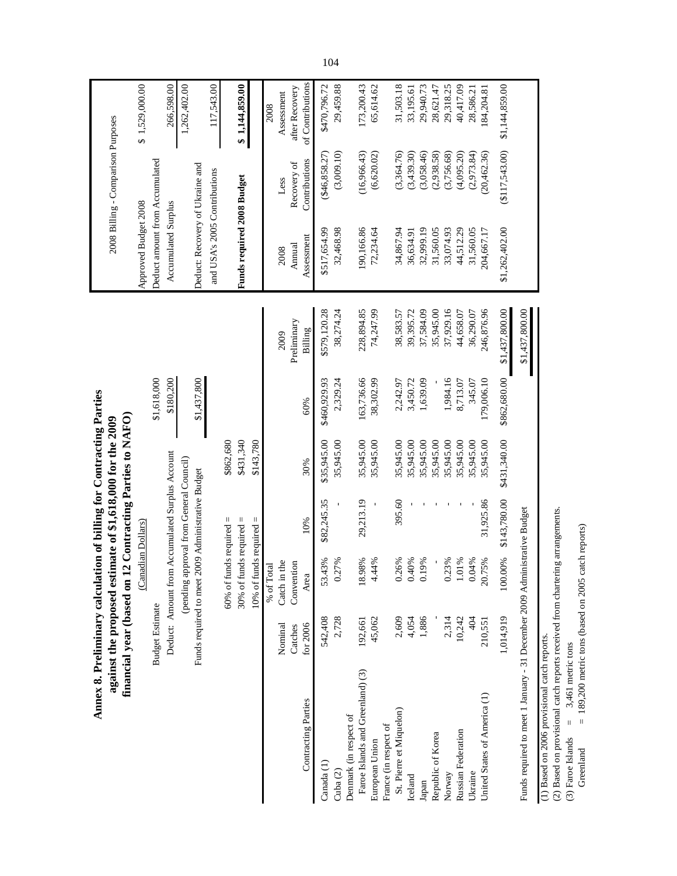|                                                                           |                        |                                                    |              | Annex 8. Preliminary calculation of billing for Contracting Parties<br>financial year (based on 12 Contracting Parties to NAFO)<br>against the proposed estimate of \$1,618,000 for the 2009 |              |                |                                 | 2008 Billing - Comparison Purposes |                              |
|---------------------------------------------------------------------------|------------------------|----------------------------------------------------|--------------|----------------------------------------------------------------------------------------------------------------------------------------------------------------------------------------------|--------------|----------------|---------------------------------|------------------------------------|------------------------------|
|                                                                           |                        | (Canadian Dollars)                                 |              |                                                                                                                                                                                              |              |                | Approved Budget 2008            |                                    | \$1,529,000.00               |
|                                                                           | <b>Budget Estimate</b> |                                                    |              |                                                                                                                                                                                              | \$1,618,000  |                | Deduct amount from Accumulated  |                                    |                              |
|                                                                           |                        | Deduct: Amount from Accumulated Surplus Account    |              |                                                                                                                                                                                              | \$180,200    |                | Accumulated Surplus             |                                    | 266,598.00                   |
|                                                                           |                        | (pending approval from General Council)            |              |                                                                                                                                                                                              |              |                |                                 |                                    | 1,262,402.00                 |
|                                                                           |                        | Funds required to meet 2009 Administrative Budget  |              |                                                                                                                                                                                              | \$1,437,800  |                | Deduct: Recovery of Ukraine and |                                    |                              |
|                                                                           |                        |                                                    |              |                                                                                                                                                                                              |              |                | and USA's 2005 Contributions    |                                    | 117,543.00                   |
|                                                                           |                        | 60% of funds required $=$                          |              | \$862,680                                                                                                                                                                                    |              |                |                                 |                                    |                              |
|                                                                           |                        | 10% of funds required $=$<br>30% of funds required | $\vert$      | \$431,340<br>\$143,780                                                                                                                                                                       |              |                | Funds required 2008 Budget      |                                    | \$1,144,859.00               |
|                                                                           |                        |                                                    |              |                                                                                                                                                                                              |              |                |                                 |                                    |                              |
|                                                                           |                        | % of Total                                         |              |                                                                                                                                                                                              |              | 2009           |                                 |                                    | 2008                         |
|                                                                           | Nominal<br>Catches     | Catch in the<br>Convention                         |              |                                                                                                                                                                                              |              | Preliminary    | Annual<br>2008                  | Recovery of<br>Less                | after Recovery<br>Assessment |
| Contracting Parties                                                       | for 2006               | Area                                               | 10%          | 30%                                                                                                                                                                                          | 60%          | Billing        | Assessment                      | Contributions                      | of Contributions             |
| Canada <sub>(1)</sub>                                                     | 542,408                | .43%<br>53                                         | \$82,245.35  | \$35,945.00                                                                                                                                                                                  | \$460,929.93 | \$579,120.28   | \$517,654.99                    | (\$46,858.27)                      | \$470,796.72                 |
| Cuba <sub>(2)</sub>                                                       | 2,728                  | .27%                                               |              | 35,945.00                                                                                                                                                                                    | 2,329.24     | 38,274.24      | 32,468.98                       | (3,009.10)                         | 29,459.88                    |
| Denmark (in respect of                                                    |                        |                                                    |              |                                                                                                                                                                                              |              |                |                                 |                                    |                              |
| Faroe Islands and Greenland) (3)                                          | 192,661                | 18.98%                                             | 29,213.19    | 35,945.00                                                                                                                                                                                    | 163,736.66   | 228,894.85     | 190,166.86                      | (16,966,43)                        | 173,200.43                   |
| European Union                                                            | 45,062                 | 4.44%                                              |              | 35,945.00                                                                                                                                                                                    | 38,302.99    | 74,247.99      | 72,234.64                       | (6,620.02)                         | 65,614.62                    |
| France (in respect of                                                     |                        |                                                    |              |                                                                                                                                                                                              |              |                |                                 |                                    |                              |
| St. Pierre et Miquelon)                                                   | 2,609                  | 1.26%                                              | 395.60       | 35,945.00                                                                                                                                                                                    | 2,242.97     | 38,583.57      | 34,867.94                       | (3,364.76)                         | 31,503.18                    |
| Iceland                                                                   | 4,054                  | ,40%                                               |              | 35,945.00                                                                                                                                                                                    | 3,450.72     | 39,395.72      | 36,634.91                       | (3,439.30)                         | 33,195.61                    |
| Japan                                                                     | 1,886                  | 0.19%                                              |              | 35,945.00                                                                                                                                                                                    | 1,639.09     | 37,584.09      | 32,999.19                       | (3,058.46)                         | 29,940.73                    |
| Republic of Korea                                                         |                        |                                                    |              | 35,945.00                                                                                                                                                                                    |              | 35,945.00      | 31,560.05                       | (2,938.58)                         | 28,621.47                    |
| Norway                                                                    | 2,314                  | 1.23%                                              |              | 35,945.00                                                                                                                                                                                    | 1,984.16     | 37,929.16      | 33,074.93                       | (3,756.68)                         | 29,318.25                    |
| Russian Federation                                                        | 10,242                 | $.01\%$                                            |              | 35,945.00                                                                                                                                                                                    | 8,713.07     | 44,658.07      | 44,512.29                       | (4,095.20)                         | 40,417.09                    |
| Ukraine                                                                   | 404                    | 0.04%                                              |              | 35,945.00                                                                                                                                                                                    | 345.07       | 36,290.07      | 31,560.05                       | (2,973.84)                         | 28,586.21                    |
| United States of America (1)                                              | 210,551                | 1.75%<br>$\Omega$                                  | 31,925.86    | 35,945.00                                                                                                                                                                                    | 179,006.10   | 246,876.96     | 204,667.17                      | (20, 462.36)                       | 184,204.81                   |
|                                                                           | 1,014,919              | 100.00%                                            | \$143,780.00 | \$431,340.00                                                                                                                                                                                 | \$862,680.00 | \$1,437,800.00 | \$1,262,402.00                  | $(\$117,543.00)$                   | \$1,144,859.00               |
| Funds required to meet 1 January - 31 December 2009 Administrative Budget |                        |                                                    |              |                                                                                                                                                                                              |              | \$1,437,800.00 |                                 |                                    |                              |

(1) Based on 2006 provisional catch reports.<br>
(2) Based on provisional catch reports received from chartering arrangements.<br>
(3) Faroe Islands = 3,461 metric tons (based on 2005 catch reports)<br>
Greenland = 189,200 metric (2) Based on provisional catch reports received from chartering arrangements. (3) Faroe Islands  $=$  3,461 metric tons

(1) Based on 2006 provisional catch reports.

Greenland  $= 189,200$  metric tons (based on 2005 catch reports)